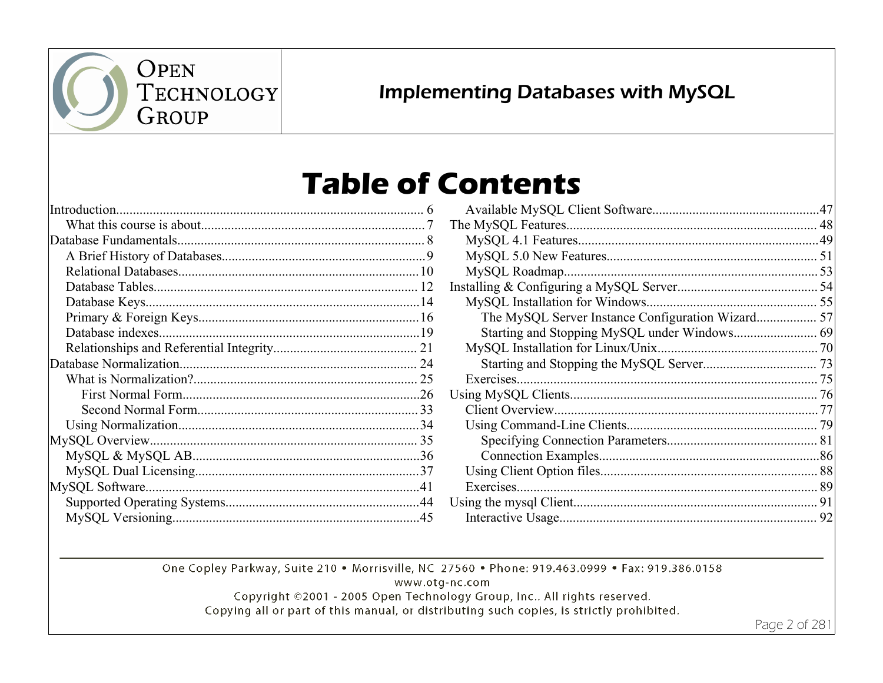

## **Implementing Databases with MySQL**

# **Table of Contents**

|  | Avail            |
|--|------------------|
|  | The My           |
|  | MyS              |
|  | <b>MyS</b>       |
|  | MyS <sup>o</sup> |
|  | Installin        |
|  | MyS <sup>o</sup> |
|  | Tł               |
|  | St               |
|  | MyS              |
|  | St               |
|  | Exero            |
|  | Using $N$        |
|  | Clien            |
|  | Using            |
|  | Sp               |
|  | C <sub>C</sub>   |
|  | Using            |
|  | Exer             |
|  | Using th         |
|  | Intera           |
|  |                  |

| The MySQL Server Instance Configuration Wizard 57 |  |
|---------------------------------------------------|--|
|                                                   |  |
|                                                   |  |
|                                                   |  |
|                                                   |  |
|                                                   |  |
|                                                   |  |
|                                                   |  |
|                                                   |  |
|                                                   |  |
|                                                   |  |
|                                                   |  |
|                                                   |  |
|                                                   |  |

One Copley Parkway, Suite 210 . Morrisville, NC 27560 . Phone: 919.463.0999 . Fax: 919.386.0158

www.otg-nc.com

Copyright ©2001 - 2005 Open Technology Group, Inc.. All rights reserved. Copying all or part of this manual, or distributing such copies, is strictly prohibited.

Page 2 of 281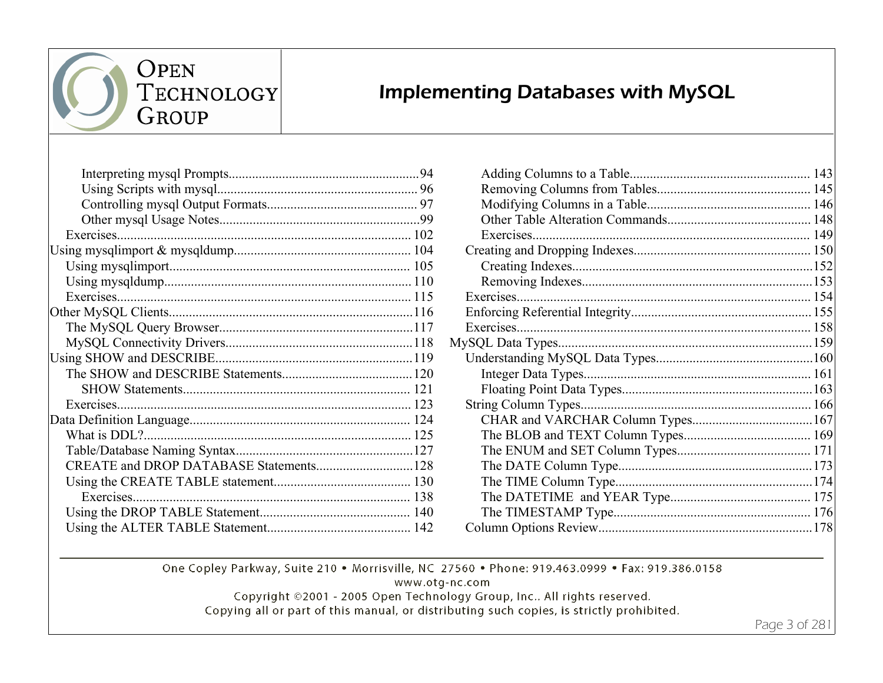

#### **Implementing Databases with MySQL**

| Exercises |  |
|-----------|--|
|           |  |
|           |  |
|           |  |
|           |  |
|           |  |
| Exercises |  |
|           |  |
|           |  |
|           |  |

One Copley Parkway, Suite 210 . Morrisville, NC 27560 . Phone: 919.463.0999 . Fax: 919.386.0158

www.otg-nc.com

Copyright ©2001 - 2005 Open Technology Group, Inc.. All rights reserved. Copying all or part of this manual, or distributing such copies, is strictly prohibited.

Page 3 of 281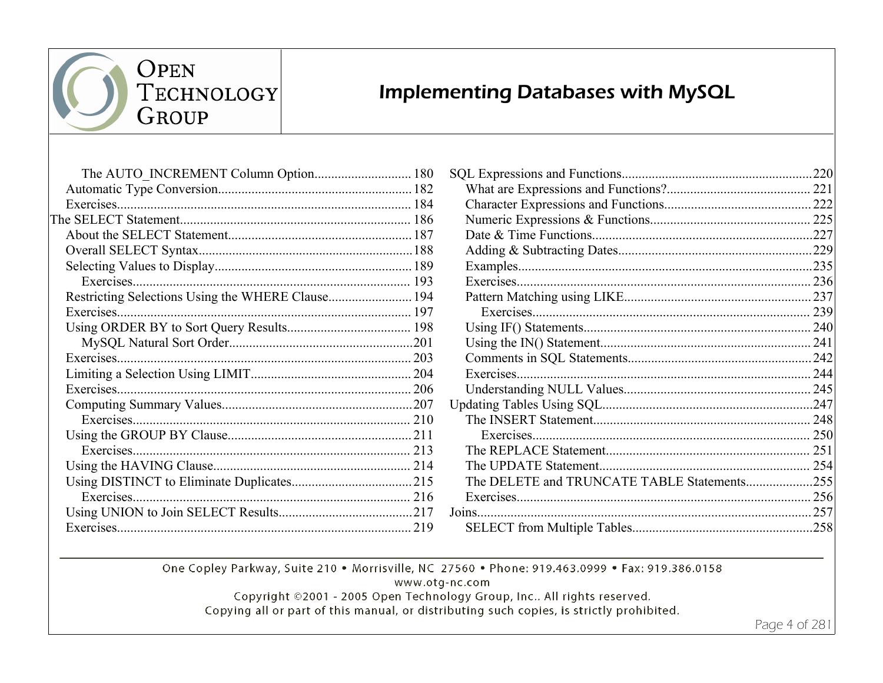

 $P(0,0)$  $P(0,0)$  $P(0,1)$ 

## **Implementing Databases with MySQL**

| Exercises. |  |
|------------|--|
|            |  |
|            |  |
|            |  |
|            |  |
| Exercises. |  |
|            |  |
| Exercises  |  |
|            |  |
|            |  |
| Exercises. |  |
|            |  |
| Exercises. |  |
|            |  |
|            |  |
|            |  |
| Exercises. |  |
|            |  |
|            |  |
| Exercises. |  |
|            |  |
|            |  |
|            |  |

| The DELETE and TRUNCATE TABLE Statements255 |  |
|---------------------------------------------|--|
|                                             |  |
|                                             |  |
|                                             |  |
|                                             |  |

One Copley Parkway, Suite 210 . Morrisville, NC 27560 . Phone: 919.463.0999 . Fax: 919.386.0158

 $100$ 

www.otg-nc.com

Copyright ©2001 - 2005 Open Technology Group, Inc.. All rights reserved.

Copying all or part of this manual, or distributing such copies, is strictly prohibited.

Page 4 of 281